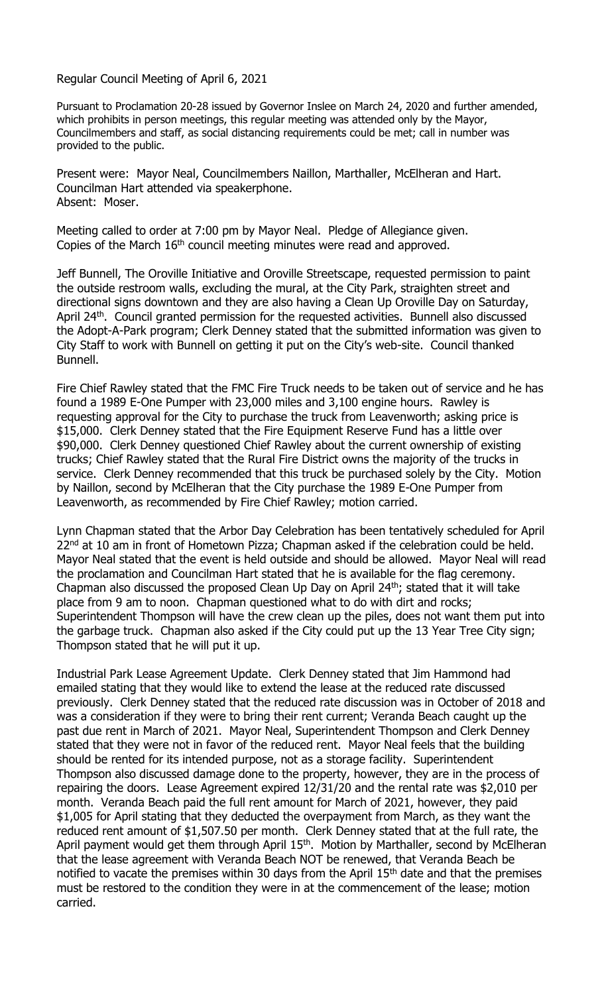Regular Council Meeting of April 6, 2021

Pursuant to Proclamation 20-28 issued by Governor Inslee on March 24, 2020 and further amended, which prohibits in person meetings, this regular meeting was attended only by the Mayor, Councilmembers and staff, as social distancing requirements could be met; call in number was provided to the public.

Present were: Mayor Neal, Councilmembers Naillon, Marthaller, McElheran and Hart. Councilman Hart attended via speakerphone. Absent: Moser.

Meeting called to order at 7:00 pm by Mayor Neal. Pledge of Allegiance given. Copies of the March 16<sup>th</sup> council meeting minutes were read and approved.

Jeff Bunnell, The Oroville Initiative and Oroville Streetscape, requested permission to paint the outside restroom walls, excluding the mural, at the City Park, straighten street and directional signs downtown and they are also having a Clean Up Oroville Day on Saturday, April 24<sup>th</sup>. Council granted permission for the requested activities. Bunnell also discussed the Adopt-A-Park program; Clerk Denney stated that the submitted information was given to City Staff to work with Bunnell on getting it put on the City's web-site. Council thanked Bunnell.

Fire Chief Rawley stated that the FMC Fire Truck needs to be taken out of service and he has found a 1989 E-One Pumper with 23,000 miles and 3,100 engine hours. Rawley is requesting approval for the City to purchase the truck from Leavenworth; asking price is \$15,000. Clerk Denney stated that the Fire Equipment Reserve Fund has a little over \$90,000. Clerk Denney questioned Chief Rawley about the current ownership of existing trucks; Chief Rawley stated that the Rural Fire District owns the majority of the trucks in service. Clerk Denney recommended that this truck be purchased solely by the City. Motion by Naillon, second by McElheran that the City purchase the 1989 E-One Pumper from Leavenworth, as recommended by Fire Chief Rawley; motion carried.

Lynn Chapman stated that the Arbor Day Celebration has been tentatively scheduled for April 22<sup>nd</sup> at 10 am in front of Hometown Pizza; Chapman asked if the celebration could be held. Mayor Neal stated that the event is held outside and should be allowed. Mayor Neal will read the proclamation and Councilman Hart stated that he is available for the flag ceremony. Chapman also discussed the proposed Clean Up Day on April 24<sup>th</sup>; stated that it will take place from 9 am to noon. Chapman questioned what to do with dirt and rocks; Superintendent Thompson will have the crew clean up the piles, does not want them put into the garbage truck. Chapman also asked if the City could put up the 13 Year Tree City sign; Thompson stated that he will put it up.

Industrial Park Lease Agreement Update. Clerk Denney stated that Jim Hammond had emailed stating that they would like to extend the lease at the reduced rate discussed previously. Clerk Denney stated that the reduced rate discussion was in October of 2018 and was a consideration if they were to bring their rent current; Veranda Beach caught up the past due rent in March of 2021. Mayor Neal, Superintendent Thompson and Clerk Denney stated that they were not in favor of the reduced rent. Mayor Neal feels that the building should be rented for its intended purpose, not as a storage facility. Superintendent Thompson also discussed damage done to the property, however, they are in the process of repairing the doors. Lease Agreement expired 12/31/20 and the rental rate was \$2,010 per month. Veranda Beach paid the full rent amount for March of 2021, however, they paid \$1,005 for April stating that they deducted the overpayment from March, as they want the reduced rent amount of \$1,507.50 per month. Clerk Denney stated that at the full rate, the April payment would get them through April 15<sup>th</sup>. Motion by Marthaller, second by McElheran that the lease agreement with Veranda Beach NOT be renewed, that Veranda Beach be notified to vacate the premises within 30 days from the April  $15<sup>th</sup>$  date and that the premises must be restored to the condition they were in at the commencement of the lease; motion carried.